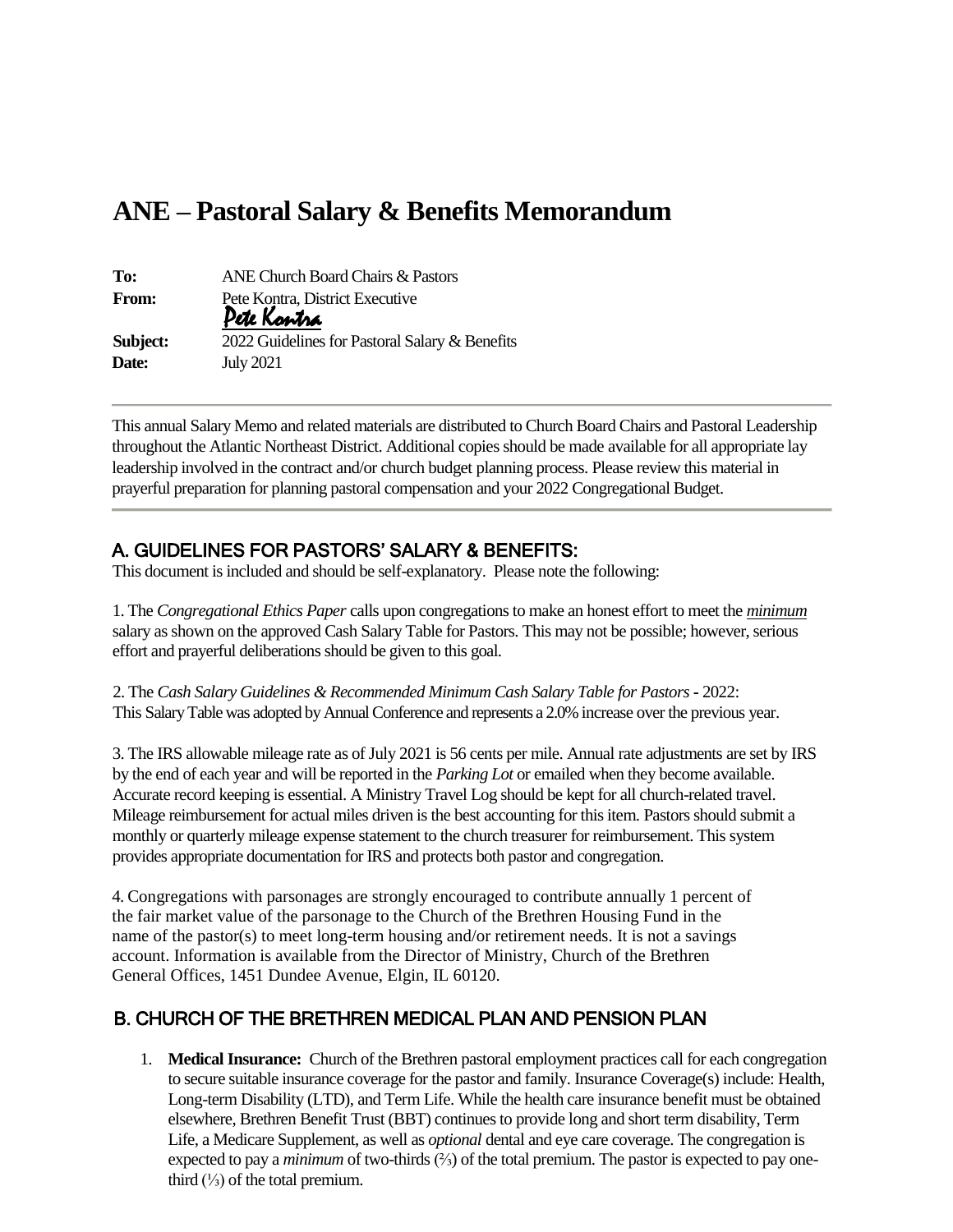# **ANE – Pastoral Salary & Benefits Memorandum**

| To:          | ANE Church Board Chairs & Pastors              |  |
|--------------|------------------------------------------------|--|
| <b>From:</b> | Pete Kontra, District Executive<br>Pete Kontra |  |
| Subject:     | 2022 Guidelines for Pastoral Salary & Benefits |  |
| Date:        | <b>July 2021</b>                               |  |

This annual Salary Memo and related materials are distributed to Church Board Chairs and Pastoral Leadership throughout the Atlantic Northeast District. Additional copies should be made available for all appropriate lay leadership involved in the contract and/or church budget planning process. Please review this material in prayerful preparation for planning pastoral compensation and your 2022 Congregational Budget.

## A. GUIDELINES FOR PASTORS' SALARY & BENEFITS:

This document is included and should be self-explanatory. Please note the following:

1. The *Congregational Ethics Paper* calls upon congregations to make an honest effort to meet the *minimum* salary as shown on the approved Cash Salary Table for Pastors. This may not be possible; however, serious effort and prayerful deliberations should be given to this goal.

2. The *Cash Salary Guidelines & Recommended Minimum Cash Salary Table for Pastors* **-** 2022: This Salary Table was adopted by Annual Conference and represents a 2.0% increase over the previous year.

3. The IRS allowable mileage rate as of July 2021 is 56 cents per mile. Annual rate adjustments are set by IRS by the end of each year and will be reported in the *Parking Lot* or emailed when they become available. Accurate record keeping is essential. A Ministry Travel Log should be kept for all church-related travel. Mileage reimbursement for actual miles driven is the best accounting for this item. Pastors should submit a monthly or quarterly mileage expense statement to the church treasurer for reimbursement. This system provides appropriate documentation for IRS and protects both pastor and congregation.

4. Congregations with parsonages are strongly encouraged to contribute annually 1 percent of the fair market value of the parsonage to the Church of the Brethren Housing Fund in the name of the pastor(s) to meet long-term housing and/or retirement needs. It is not a savings account. Information is available from the Director of Ministry, Church of the Brethren General Offices, 1451 Dundee Avenue, Elgin, IL 60120.

## B. CHURCH OF THE BRETHREN MEDICAL PLAN AND PENSION PLAN

1. **Medical Insurance:** Church of the Brethren pastoral employment practices call for each congregation to secure suitable insurance coverage for the pastor and family. Insurance Coverage(s) include: Health, Long-term Disability (LTD), and Term Life. While the health care insurance benefit must be obtained elsewhere, Brethren Benefit Trust (BBT) continues to provide long and short term disability, Term Life, a Medicare Supplement, as well as *optional* dental and eye care coverage. The congregation is expected to pay a *minimum* of two-thirds (⅔) of the total premium. The pastor is expected to pay onethird  $(½)$  of the total premium.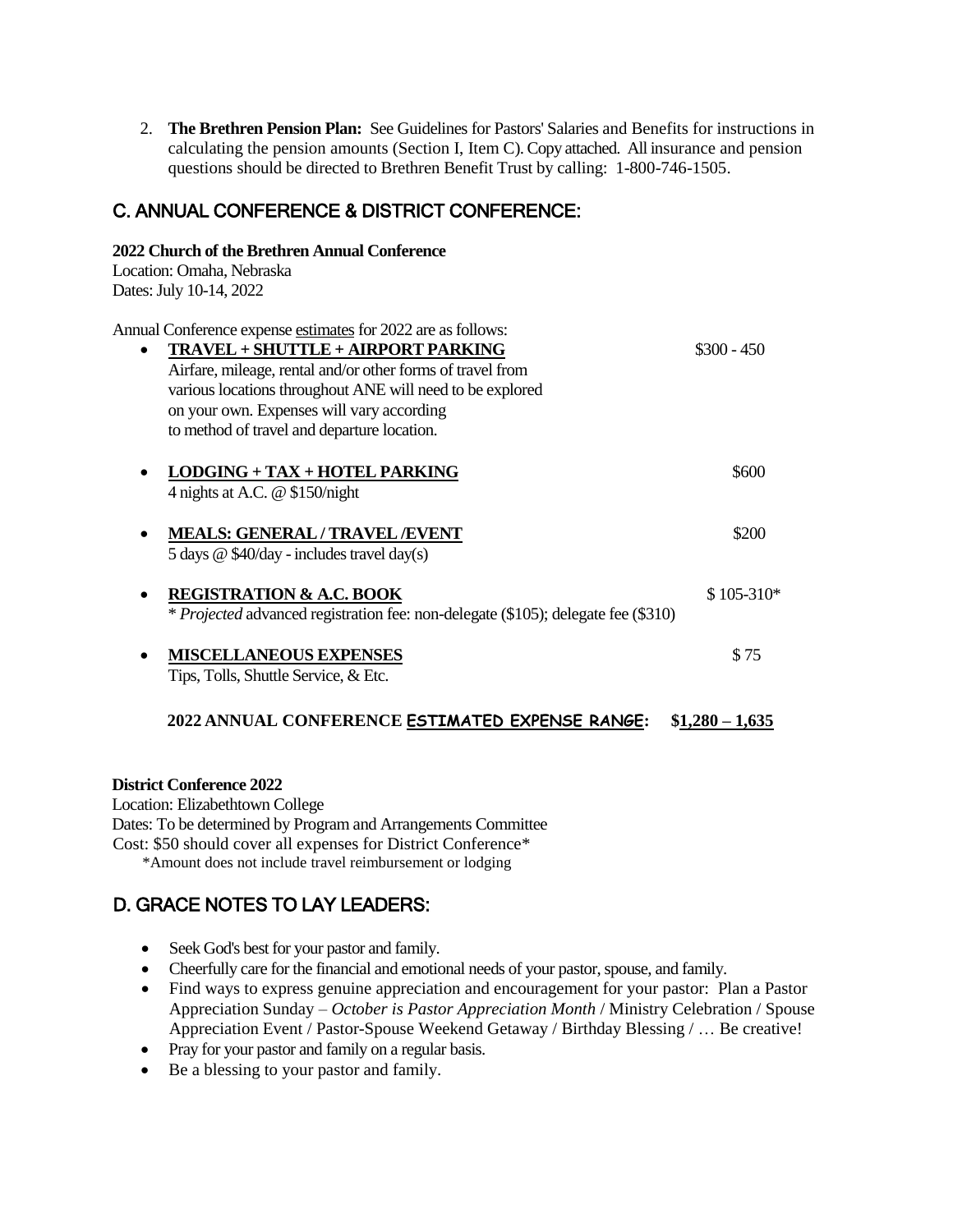2. **The Brethren Pension Plan:** See Guidelines for Pastors' Salaries and Benefits for instructions in calculating the pension amounts (Section I, Item C). Copy attached. All insurance and pension questions should be directed to Brethren Benefit Trust by calling: 1-800-746-1505.

# C. ANNUAL CONFERENCE & DISTRICT CONFERENCE:

| 2022 Church of the Brethren Annual Conference                                                                                                                                                                                                                                                                             |                  |
|---------------------------------------------------------------------------------------------------------------------------------------------------------------------------------------------------------------------------------------------------------------------------------------------------------------------------|------------------|
| Location: Omaha, Nebraska                                                                                                                                                                                                                                                                                                 |                  |
| Dates: July 10-14, 2022                                                                                                                                                                                                                                                                                                   |                  |
| Annual Conference expense estimates for 2022 are as follows:<br>TRAVEL + SHUTTLE + AIRPORT PARKING<br>Airfare, mileage, rental and/or other forms of travel from<br>various locations throughout ANE will need to be explored<br>on your own. Expenses will vary according<br>to method of travel and departure location. | $$300 - 450$     |
| LODGING + TAX + HOTEL PARKING<br>4 nights at A.C. @ \$150/night                                                                                                                                                                                                                                                           | \$600            |
| <b>MEALS: GENERAL / TRAVEL /EVENT</b><br>5 days @ \$40/day - includes travel day(s)                                                                                                                                                                                                                                       | \$200            |
| <b>REGISTRATION &amp; A.C. BOOK</b><br>* Projected advanced registration fee: non-delegate (\$105); delegate fee (\$310)                                                                                                                                                                                                  | \$105-310*       |
| <b>MISCELLANEOUS EXPENSES</b><br>Tips, Tolls, Shuttle Service, & Etc.                                                                                                                                                                                                                                                     | \$75             |
| 2022 ANNUAL CONFERENCE ESTIMATED EXPENSE RANGE:                                                                                                                                                                                                                                                                           | $$1,280 - 1,635$ |

#### **District Conference 2022**

Location: Elizabethtown College Dates: To be determined by Program and Arrangements Committee Cost: \$50 should cover all expenses for District Conference\* \*Amount does not include travel reimbursement or lodging

# D. GRACE NOTES TO LAY LEADERS:

- Seek God's best for your pastor and family.
- Cheerfully care for the financial and emotional needs of your pastor, spouse, and family.
- Find ways to express genuine appreciation and encouragement for your pastor: Plan a Pastor Appreciation Sunday – *October is Pastor Appreciation Month* / Ministry Celebration / Spouse Appreciation Event / Pastor-Spouse Weekend Getaway / Birthday Blessing / … Be creative!
- Pray for your pastor and family on a regular basis.
- Be a blessing to your pastor and family.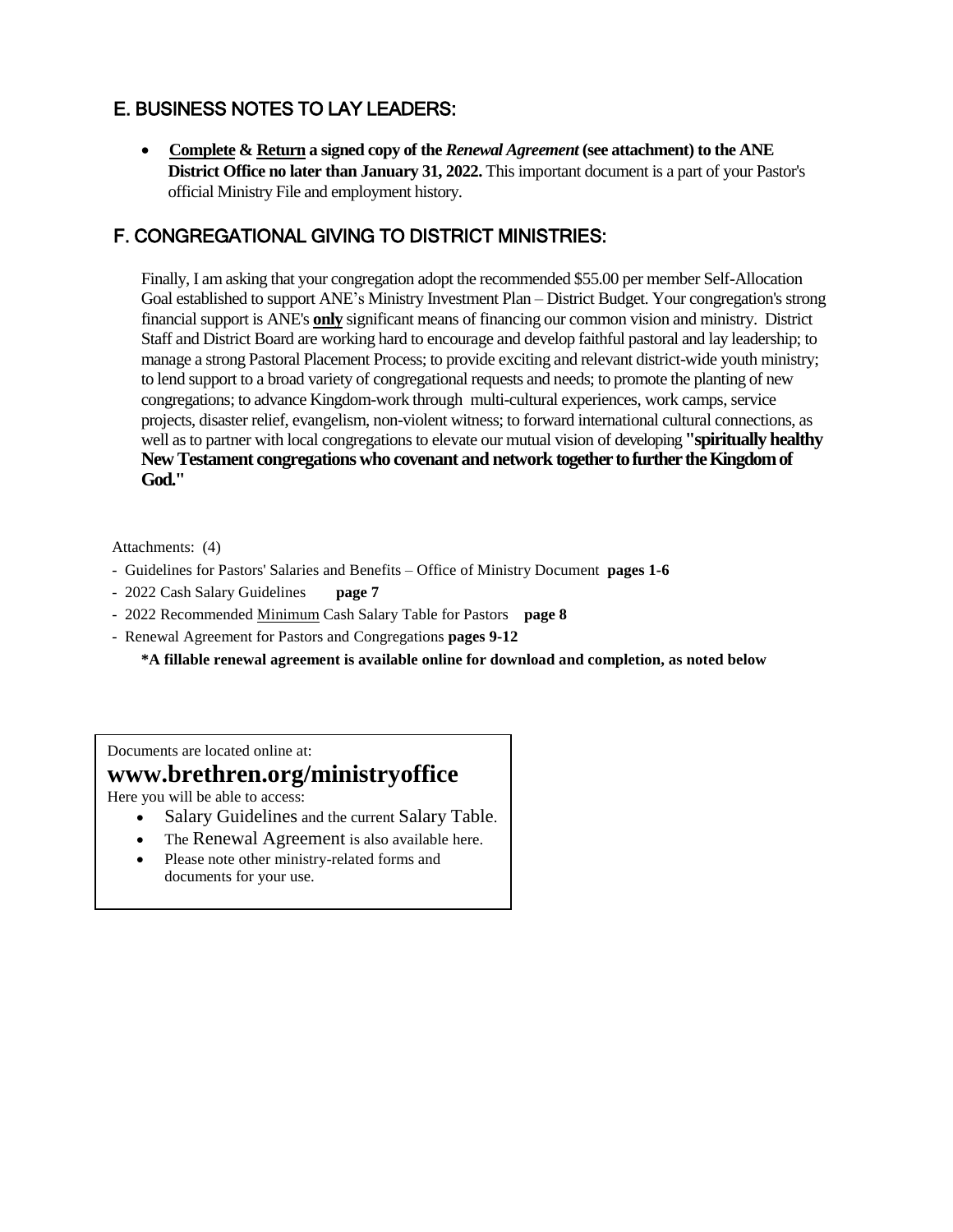# E. BUSINESS NOTES TO LAY LEADERS:

• **Complete & Return a signed copy of the** *Renewal Agreement* **(see attachment) to the ANE District Office no later than January 31, 2022.** This important document is a part of your Pastor's official Ministry File and employment history.

# F. CONGREGATIONAL GIVING TO DISTRICT MINISTRIES:

Finally, I am asking that your congregation adopt the recommended \$55.00 per member Self-Allocation Goal established to support ANE's Ministry Investment Plan – District Budget. Your congregation's strong financial support is ANE's **only** significant means of financing our common vision and ministry. District Staff and District Board are working hard to encourage and develop faithful pastoral and lay leadership; to manage a strong Pastoral Placement Process; to provide exciting and relevant district-wide youth ministry; to lend support to a broad variety of congregational requests and needs; to promote the planting of new congregations; to advance Kingdom-work through multi-cultural experiences, work camps, service projects, disaster relief, evangelism, non-violent witness; to forward international cultural connections, as well as to partner with local congregations to elevate our mutual vision of developing **"spiritually healthy New Testament congregations who covenant and network together to further the Kingdom of God."**

Attachments: (4)

- Guidelines for Pastors' Salaries and Benefits Office of Ministry Document **pages 1-6**
- 2022 Cash Salary Guidelines **page 7**
- 2022 Recommended Minimum Cash Salary Table for Pastors **page 8**
- Renewal Agreement for Pastors and Congregations **pages 9-12**

**\*A fillable renewal agreement is available online for download and completion, as noted below**

Documents are located online at:

# **www.brethren.org/ministryoffice**

Here you will be able to access:

- Salary Guidelines and the current Salary Table.
- The Renewal Agreement is also available here.
- Please note other ministry-related forms and documents for your use.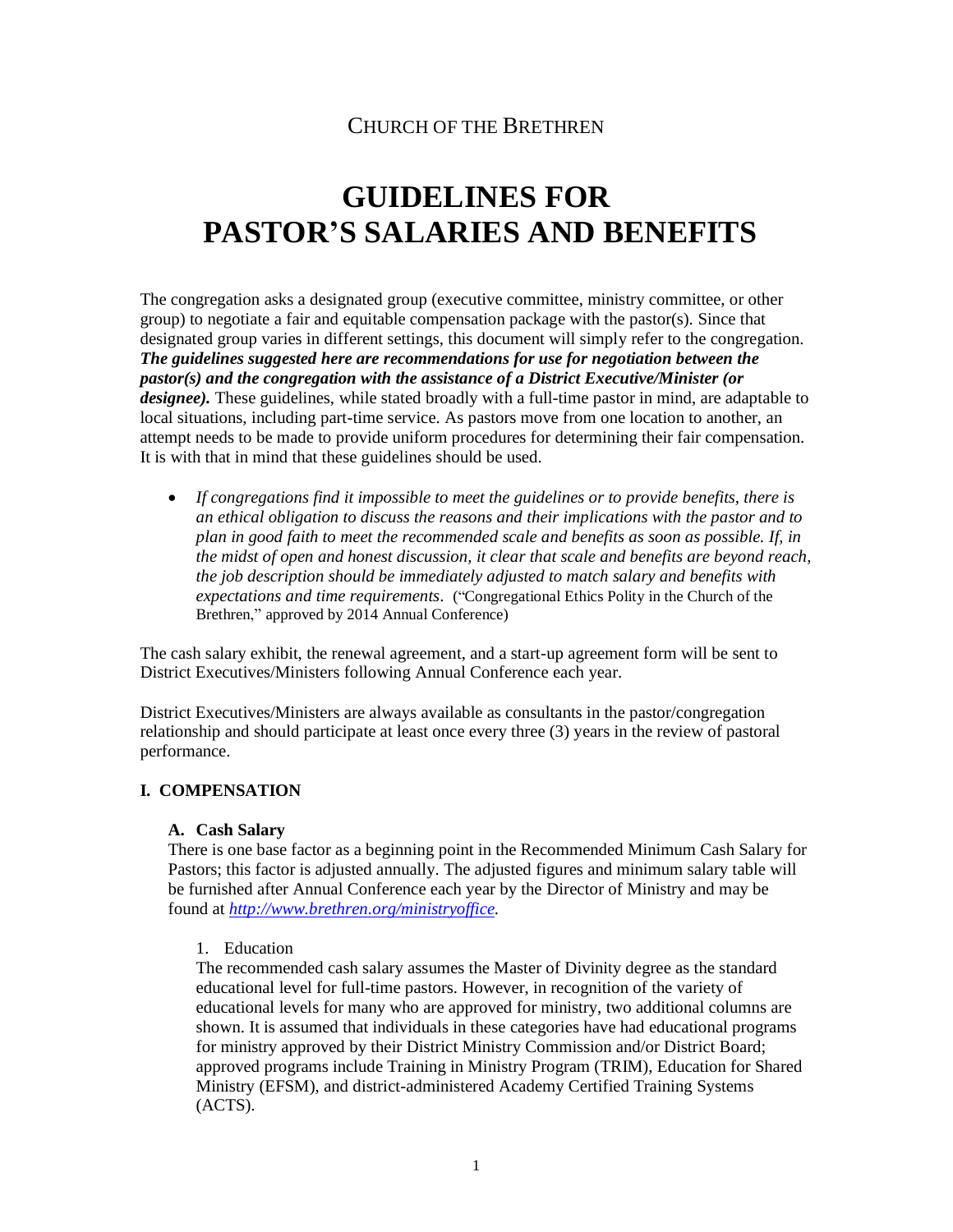# CHURCH OF THE BRETHREN

# **GUIDELINES FOR PASTOR'S SALARIES AND BENEFITS**

The congregation asks a designated group (executive committee, ministry committee, or other group) to negotiate a fair and equitable compensation package with the pastor(s). Since that designated group varies in different settings, this document will simply refer to the congregation. *The guidelines suggested here are recommendations for use for negotiation between the pastor(s) and the congregation with the assistance of a District Executive/Minister (or designee*). These guidelines, while stated broadly with a full-time pastor in mind, are adaptable to local situations, including part-time service. As pastors move from one location to another, an attempt needs to be made to provide uniform procedures for determining their fair compensation. It is with that in mind that these guidelines should be used.

• *If congregations find it impossible to meet the guidelines or to provide benefits, there is an ethical obligation to discuss the reasons and their implications with the pastor and to plan in good faith to meet the recommended scale and benefits as soon as possible. If, in the midst of open and honest discussion, it clear that scale and benefits are beyond reach, the job description should be immediately adjusted to match salary and benefits with expectations and time requirements*. ("Congregational Ethics Polity in the Church of the Brethren," approved by 2014 Annual Conference)

The cash salary exhibit, the renewal agreement, and a start-up agreement form will be sent to District Executives/Ministers following Annual Conference each year.

District Executives/Ministers are always available as consultants in the pastor/congregation relationship and should participate at least once every three (3) years in the review of pastoral performance.

#### **I. COMPENSATION**

#### **A. Cash Salary**

There is one base factor as a beginning point in the Recommended Minimum Cash Salary for Pastors; this factor is adjusted annually. The adjusted figures and minimum salary table will be furnished after Annual Conference each year by the Director of Ministry and may be found at *[http://www.brethren.org/ministryoffice.](http://www.brethren.org/ministryoffice)*

#### 1. Education

The recommended cash salary assumes the Master of Divinity degree as the standard educational level for full-time pastors. However, in recognition of the variety of educational levels for many who are approved for ministry, two additional columns are shown. It is assumed that individuals in these categories have had educational programs for ministry approved by their District Ministry Commission and/or District Board; approved programs include Training in Ministry Program (TRIM), Education for Shared Ministry (EFSM), and district-administered Academy Certified Training Systems (ACTS).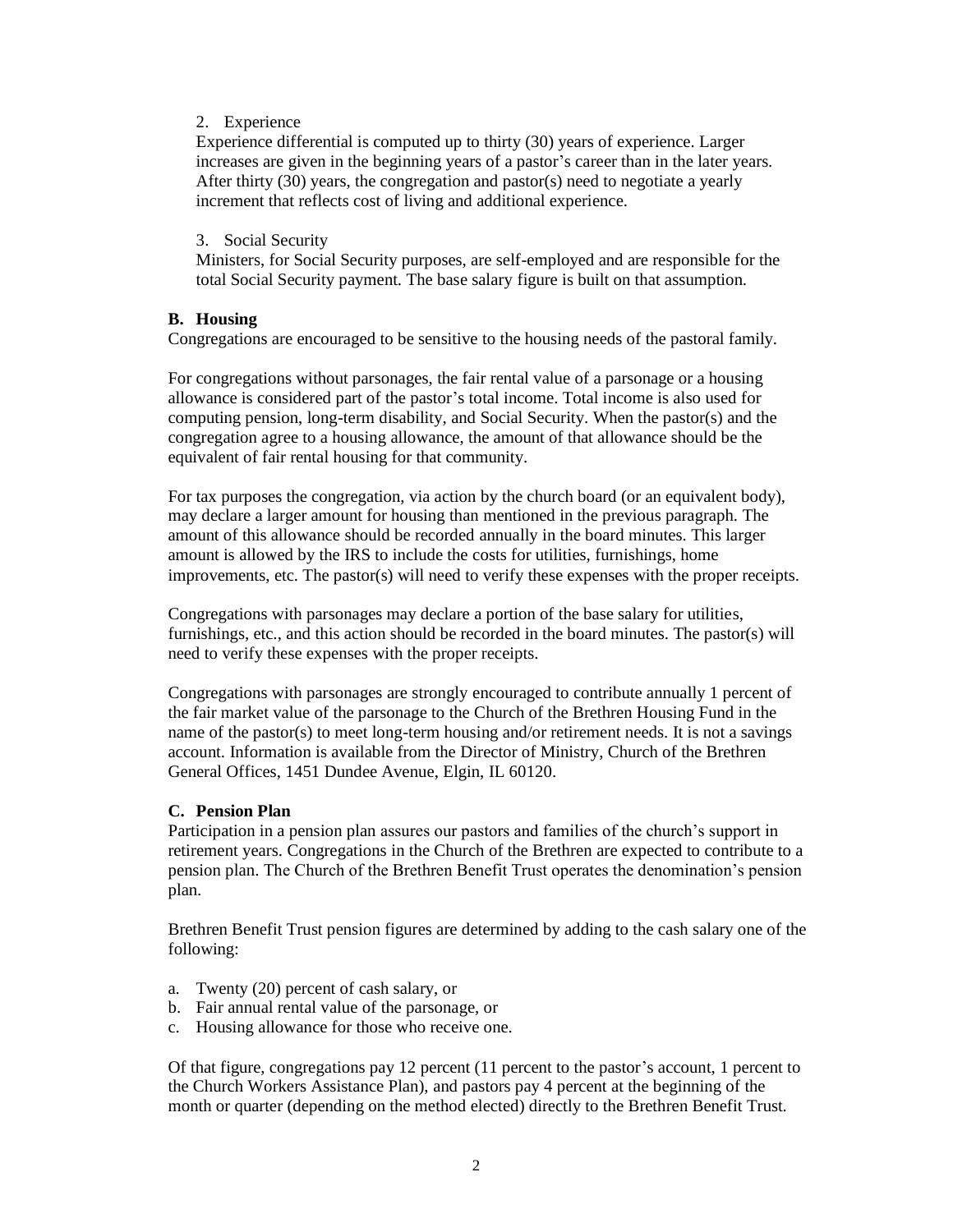#### 2. Experience

Experience differential is computed up to thirty (30) years of experience. Larger increases are given in the beginning years of a pastor's career than in the later years. After thirty (30) years, the congregation and pastor(s) need to negotiate a yearly increment that reflects cost of living and additional experience.

#### 3. Social Security

Ministers, for Social Security purposes, are self-employed and are responsible for the total Social Security payment. The base salary figure is built on that assumption.

#### **B. Housing**

Congregations are encouraged to be sensitive to the housing needs of the pastoral family.

For congregations without parsonages, the fair rental value of a parsonage or a housing allowance is considered part of the pastor's total income. Total income is also used for computing pension, long-term disability, and Social Security. When the pastor(s) and the congregation agree to a housing allowance, the amount of that allowance should be the equivalent of fair rental housing for that community.

For tax purposes the congregation, via action by the church board (or an equivalent body), may declare a larger amount for housing than mentioned in the previous paragraph. The amount of this allowance should be recorded annually in the board minutes. This larger amount is allowed by the IRS to include the costs for utilities, furnishings, home improvements, etc. The pastor(s) will need to verify these expenses with the proper receipts.

Congregations with parsonages may declare a portion of the base salary for utilities, furnishings, etc., and this action should be recorded in the board minutes. The pastor(s) will need to verify these expenses with the proper receipts.

Congregations with parsonages are strongly encouraged to contribute annually 1 percent of the fair market value of the parsonage to the Church of the Brethren Housing Fund in the name of the pastor(s) to meet long-term housing and/or retirement needs. It is not a savings account. Information is available from the Director of Ministry, Church of the Brethren General Offices, 1451 Dundee Avenue, Elgin, IL 60120.

#### **C. Pension Plan**

Participation in a pension plan assures our pastors and families of the church's support in retirement years. Congregations in the Church of the Brethren are expected to contribute to a pension plan. The Church of the Brethren Benefit Trust operates the denomination's pension plan.

Brethren Benefit Trust pension figures are determined by adding to the cash salary one of the following:

- a. Twenty (20) percent of cash salary, or
- b. Fair annual rental value of the parsonage, or
- c. Housing allowance for those who receive one.

Of that figure, congregations pay 12 percent (11 percent to the pastor's account, 1 percent to the Church Workers Assistance Plan), and pastors pay 4 percent at the beginning of the month or quarter (depending on the method elected) directly to the Brethren Benefit Trust.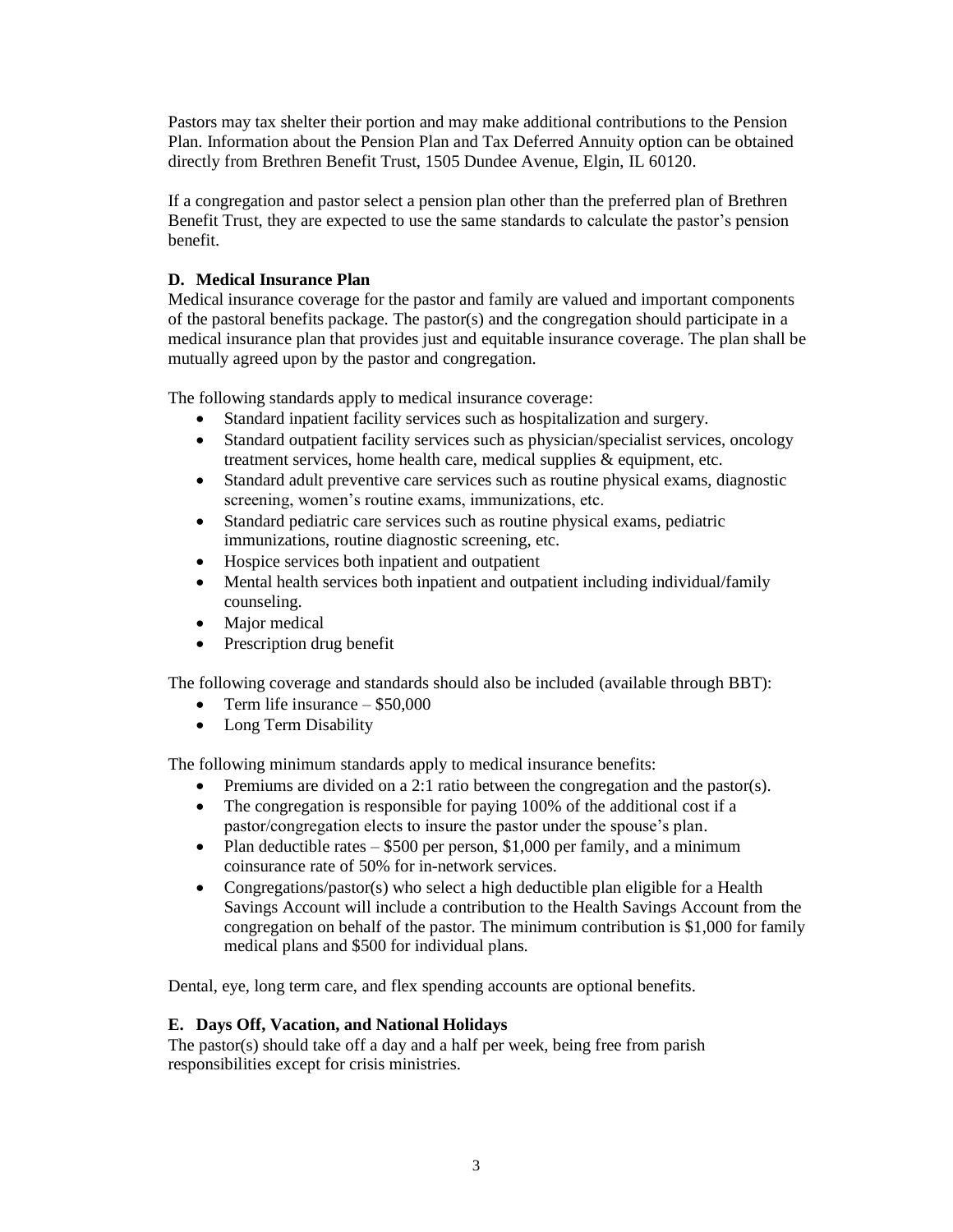Pastors may tax shelter their portion and may make additional contributions to the Pension Plan. Information about the Pension Plan and Tax Deferred Annuity option can be obtained directly from Brethren Benefit Trust, 1505 Dundee Avenue, Elgin, IL 60120.

If a congregation and pastor select a pension plan other than the preferred plan of Brethren Benefit Trust, they are expected to use the same standards to calculate the pastor's pension benefit.

#### **D. Medical Insurance Plan**

Medical insurance coverage for the pastor and family are valued and important components of the pastoral benefits package. The pastor(s) and the congregation should participate in a medical insurance plan that provides just and equitable insurance coverage. The plan shall be mutually agreed upon by the pastor and congregation.

The following standards apply to medical insurance coverage:

- Standard inpatient facility services such as hospitalization and surgery.
- Standard outpatient facility services such as physician/specialist services, oncology treatment services, home health care, medical supplies & equipment, etc.
- Standard adult preventive care services such as routine physical exams, diagnostic screening, women's routine exams, immunizations, etc.
- Standard pediatric care services such as routine physical exams, pediatric immunizations, routine diagnostic screening, etc.
- Hospice services both inpatient and outpatient
- Mental health services both inpatient and outpatient including individual/family counseling.
- Major medical
- Prescription drug benefit

The following coverage and standards should also be included (available through BBT):

- Term life insurance  $-$  \$50,000
- Long Term Disability

The following minimum standards apply to medical insurance benefits:

- Premiums are divided on a 2:1 ratio between the congregation and the pastor(s).
- The congregation is responsible for paying 100% of the additional cost if a pastor/congregation elects to insure the pastor under the spouse's plan.
- Plan deductible rates  $-$  \$500 per person, \$1,000 per family, and a minimum coinsurance rate of 50% for in-network services.
- Congregations/pastor(s) who select a high deductible plan eligible for a Health Savings Account will include a contribution to the Health Savings Account from the congregation on behalf of the pastor. The minimum contribution is \$1,000 for family medical plans and \$500 for individual plans.

Dental, eye, long term care, and flex spending accounts are optional benefits.

#### **E. Days Off, Vacation, and National Holidays**

The pastor(s) should take off a day and a half per week, being free from parish responsibilities except for crisis ministries.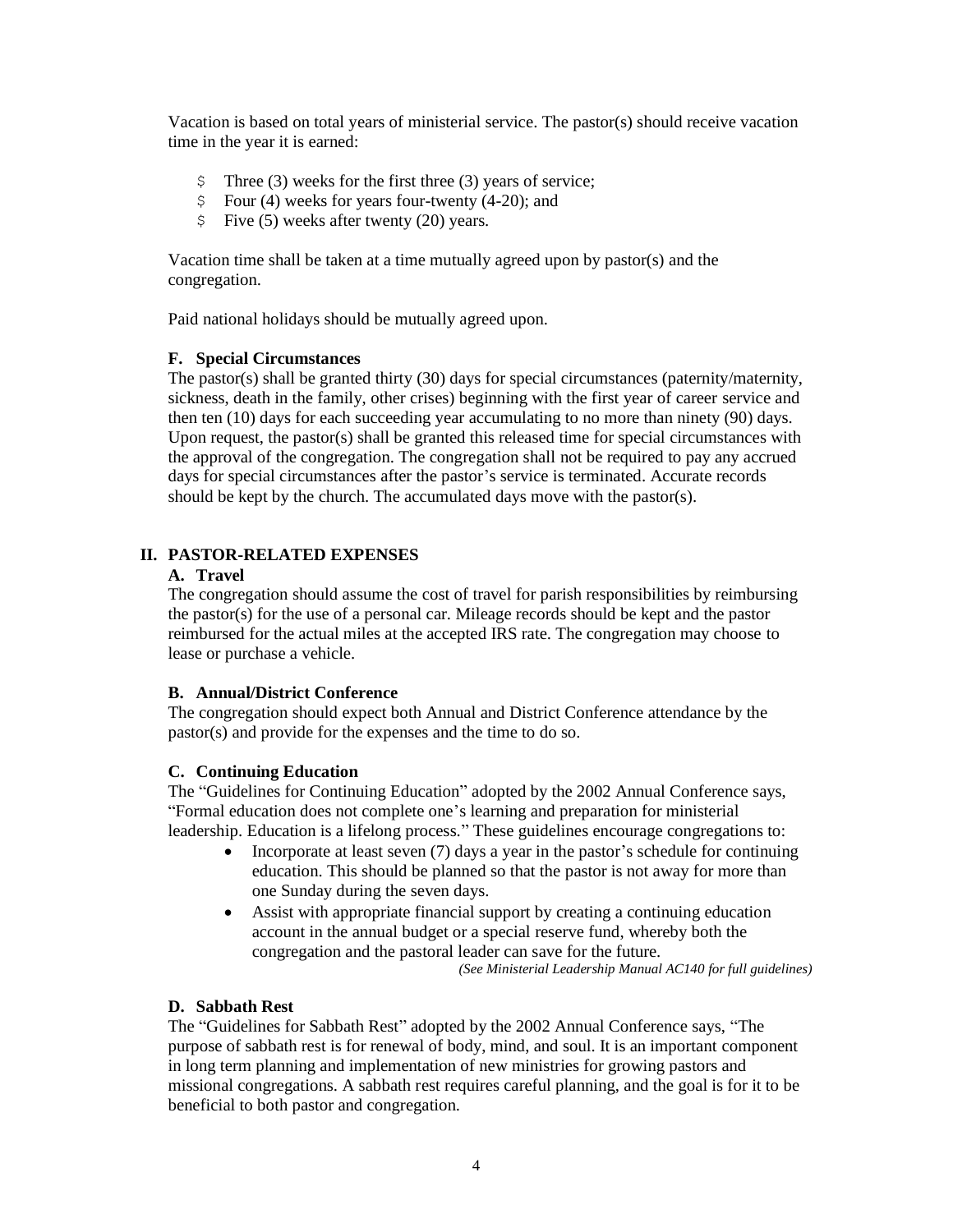Vacation is based on total years of ministerial service. The pastor(s) should receive vacation time in the year it is earned:

- \$ Three (3) weeks for the first three (3) years of service;
- $\text{\$}$  Four (4) weeks for years four-twenty (4-20); and
- $\frac{1}{2}$  Five (5) weeks after twenty (20) years.

Vacation time shall be taken at a time mutually agreed upon by pastor(s) and the congregation.

Paid national holidays should be mutually agreed upon.

#### **F. Special Circumstances**

The pastor(s) shall be granted thirty (30) days for special circumstances (paternity/maternity, sickness, death in the family, other crises) beginning with the first year of career service and then ten (10) days for each succeeding year accumulating to no more than ninety (90) days. Upon request, the pastor(s) shall be granted this released time for special circumstances with the approval of the congregation. The congregation shall not be required to pay any accrued days for special circumstances after the pastor's service is terminated. Accurate records should be kept by the church. The accumulated days move with the pastor(s).

#### **II. PASTOR-RELATED EXPENSES**

#### **A. Travel**

The congregation should assume the cost of travel for parish responsibilities by reimbursing the pastor(s) for the use of a personal car. Mileage records should be kept and the pastor reimbursed for the actual miles at the accepted IRS rate. The congregation may choose to lease or purchase a vehicle.

#### **B. Annual/District Conference**

The congregation should expect both Annual and District Conference attendance by the pastor(s) and provide for the expenses and the time to do so.

#### **C. Continuing Education**

The "Guidelines for Continuing Education" adopted by the 2002 Annual Conference says, "Formal education does not complete one's learning and preparation for ministerial leadership. Education is a lifelong process." These guidelines encourage congregations to:

- Incorporate at least seven (7) days a year in the pastor's schedule for continuing education. This should be planned so that the pastor is not away for more than one Sunday during the seven days.
- Assist with appropriate financial support by creating a continuing education account in the annual budget or a special reserve fund, whereby both the congregation and the pastoral leader can save for the future.

*(See Ministerial Leadership Manual AC140 for full guidelines)*

#### **D. Sabbath Rest**

The "Guidelines for Sabbath Rest" adopted by the 2002 Annual Conference says, "The purpose of sabbath rest is for renewal of body, mind, and soul. It is an important component in long term planning and implementation of new ministries for growing pastors and missional congregations. A sabbath rest requires careful planning, and the goal is for it to be beneficial to both pastor and congregation.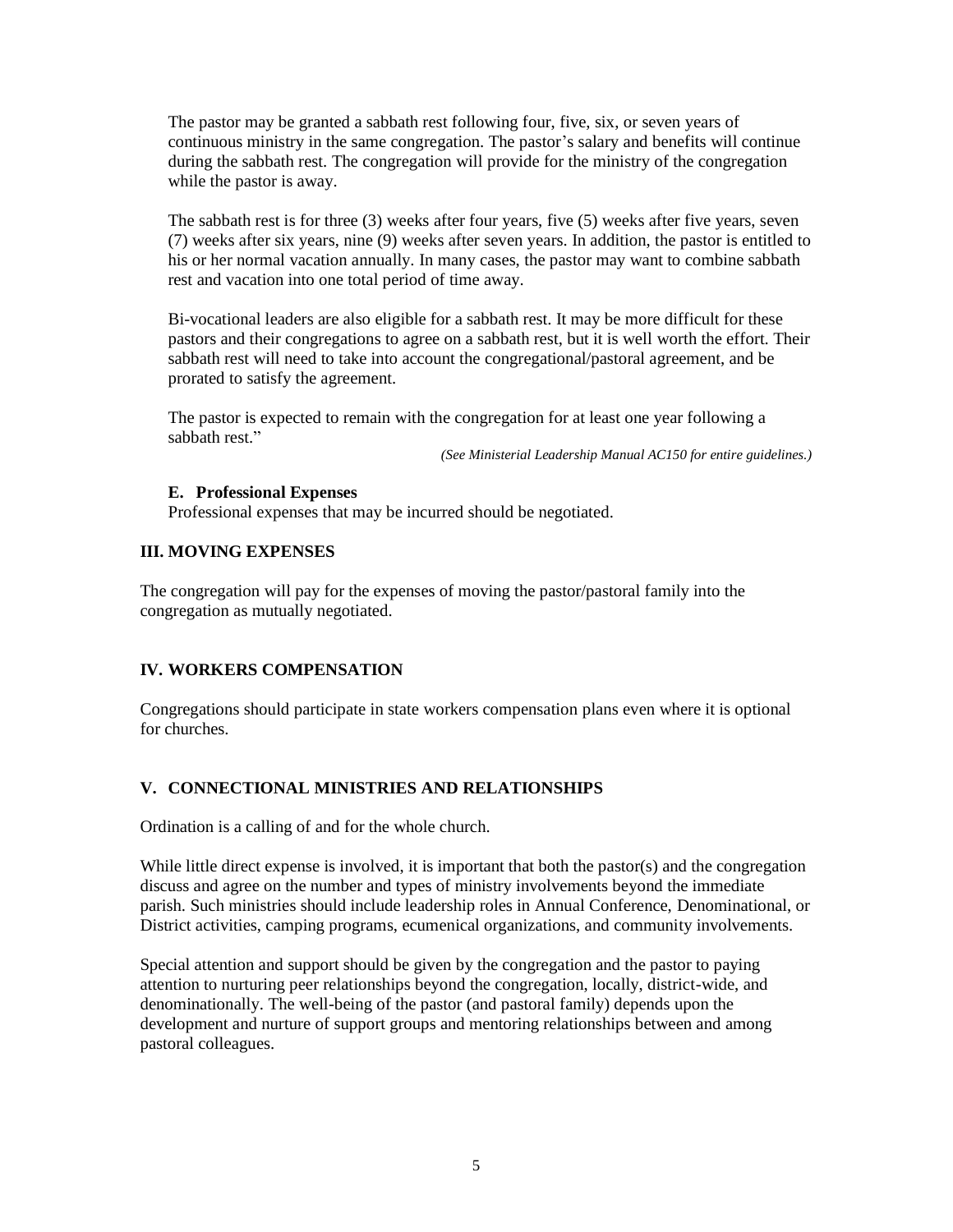The pastor may be granted a sabbath rest following four, five, six, or seven years of continuous ministry in the same congregation. The pastor's salary and benefits will continue during the sabbath rest. The congregation will provide for the ministry of the congregation while the pastor is away.

The sabbath rest is for three (3) weeks after four years, five (5) weeks after five years, seven (7) weeks after six years, nine (9) weeks after seven years. In addition, the pastor is entitled to his or her normal vacation annually. In many cases, the pastor may want to combine sabbath rest and vacation into one total period of time away.

Bi-vocational leaders are also eligible for a sabbath rest. It may be more difficult for these pastors and their congregations to agree on a sabbath rest, but it is well worth the effort. Their sabbath rest will need to take into account the congregational/pastoral agreement, and be prorated to satisfy the agreement.

The pastor is expected to remain with the congregation for at least one year following a sabbath rest."

*(See Ministerial Leadership Manual AC150 for entire guidelines.)*

#### **E. Professional Expenses**

Professional expenses that may be incurred should be negotiated.

#### **III. MOVING EXPENSES**

The congregation will pay for the expenses of moving the pastor/pastoral family into the congregation as mutually negotiated.

#### **IV. WORKERS COMPENSATION**

Congregations should participate in state workers compensation plans even where it is optional for churches.

### **V. CONNECTIONAL MINISTRIES AND RELATIONSHIPS**

Ordination is a calling of and for the whole church.

While little direct expense is involved, it is important that both the pastor(s) and the congregation discuss and agree on the number and types of ministry involvements beyond the immediate parish. Such ministries should include leadership roles in Annual Conference, Denominational, or District activities, camping programs, ecumenical organizations, and community involvements.

Special attention and support should be given by the congregation and the pastor to paying attention to nurturing peer relationships beyond the congregation, locally, district-wide, and denominationally. The well-being of the pastor (and pastoral family) depends upon the development and nurture of support groups and mentoring relationships between and among pastoral colleagues.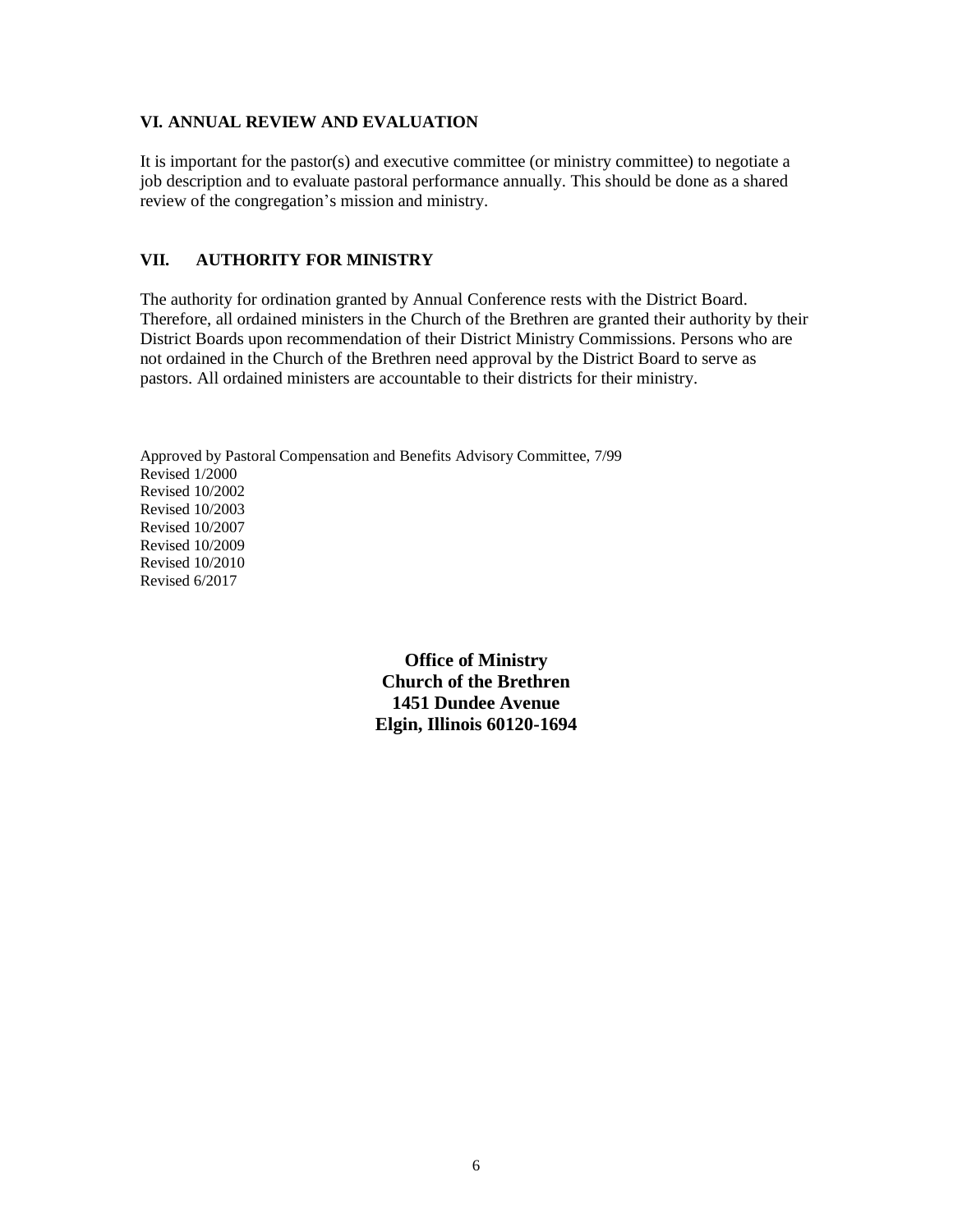#### **VI. ANNUAL REVIEW AND EVALUATION**

It is important for the pastor(s) and executive committee (or ministry committee) to negotiate a job description and to evaluate pastoral performance annually. This should be done as a shared review of the congregation's mission and ministry.

#### **VII. AUTHORITY FOR MINISTRY**

The authority for ordination granted by Annual Conference rests with the District Board. Therefore, all ordained ministers in the Church of the Brethren are granted their authority by their District Boards upon recommendation of their District Ministry Commissions. Persons who are not ordained in the Church of the Brethren need approval by the District Board to serve as pastors. All ordained ministers are accountable to their districts for their ministry.

Approved by Pastoral Compensation and Benefits Advisory Committee, 7/99 Revised 1/2000 Revised 10/2002 Revised 10/2003 Revised 10/2007 Revised 10/2009 Revised 10/2010 Revised 6/2017

> **Office of Ministry Church of the Brethren 1451 Dundee Avenue Elgin, Illinois 60120-1694**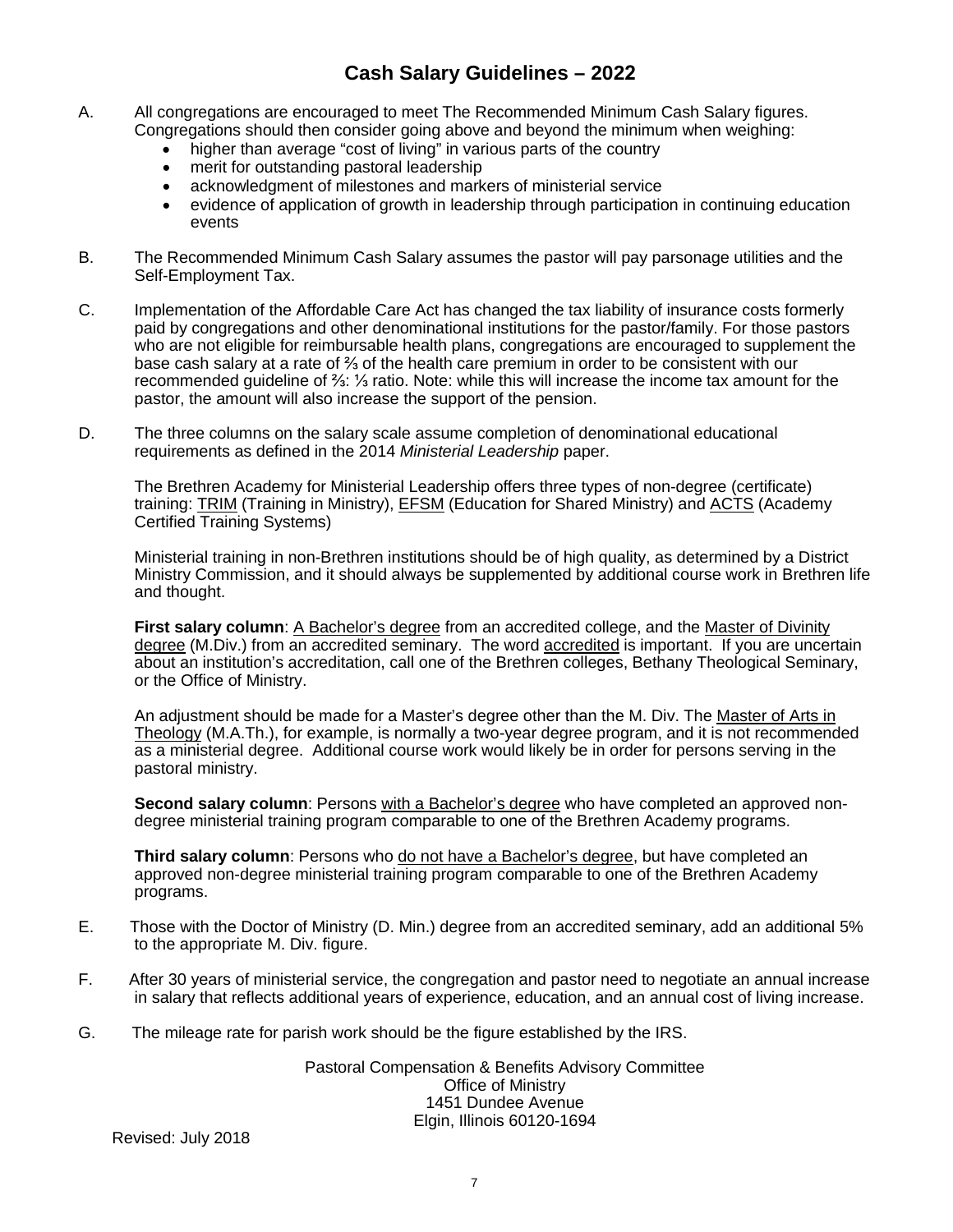- A. All congregations are encouraged to meet The Recommended Minimum Cash Salary figures. Congregations should then consider going above and beyond the minimum when weighing:
	- higher than average "cost of living" in various parts of the country
	- merit for outstanding pastoral leadership
	- acknowledgment of milestones and markers of ministerial service
	- evidence of application of growth in leadership through participation in continuing education events
- B. The Recommended Minimum Cash Salary assumes the pastor will pay parsonage utilities and the Self-Employment Tax.
- C. Implementation of the Affordable Care Act has changed the tax liability of insurance costs formerly paid by congregations and other denominational institutions for the pastor/family. For those pastors who are not eligible for reimbursable health plans, congregations are encouraged to supplement the base cash salary at a rate of ⅔ of the health care premium in order to be consistent with our recommended guideline of ⅔: ⅓ ratio. Note: while this will increase the income tax amount for the pastor, the amount will also increase the support of the pension.
- D. The three columns on the salary scale assume completion of denominational educational requirements as defined in the 2014 *Ministerial Leadership* paper.

The Brethren Academy for Ministerial Leadership offers three types of non-degree (certificate) training: TRIM (Training in Ministry), EFSM (Education for Shared Ministry) and ACTS (Academy Certified Training Systems)

Ministerial training in non-Brethren institutions should be of high quality, as determined by a District Ministry Commission, and it should always be supplemented by additional course work in Brethren life and thought.

**First salary column**: A Bachelor's degree from an accredited college, and the Master of Divinity degree (M.Div.) from an accredited seminary. The word accredited is important. If you are uncertain about an institution's accreditation, call one of the Brethren colleges, Bethany Theological Seminary, or the Office of Ministry.

An adjustment should be made for a Master's degree other than the M. Div. The Master of Arts in Theology (M.A.Th.), for example, is normally a two-year degree program, and it is not recommended as a ministerial degree. Additional course work would likely be in order for persons serving in the pastoral ministry.

**Second salary column**: Persons with a Bachelor's degree who have completed an approved nondegree ministerial training program comparable to one of the Brethren Academy programs.

**Third salary column**: Persons who do not have a Bachelor's degree, but have completed an approved non-degree ministerial training program comparable to one of the Brethren Academy programs.

- E. Those with the Doctor of Ministry (D. Min.) degree from an accredited seminary, add an additional 5% to the appropriate M. Div. figure.
- F. After 30 years of ministerial service, the congregation and pastor need to negotiate an annual increase in salary that reflects additional years of experience, education, and an annual cost of living increase.
- G. The mileage rate for parish work should be the figure established by the IRS.

Pastoral Compensation & Benefits Advisory Committee Office of Ministry 1451 Dundee Avenue Elgin, Illinois 60120-1694

Revised: July 2018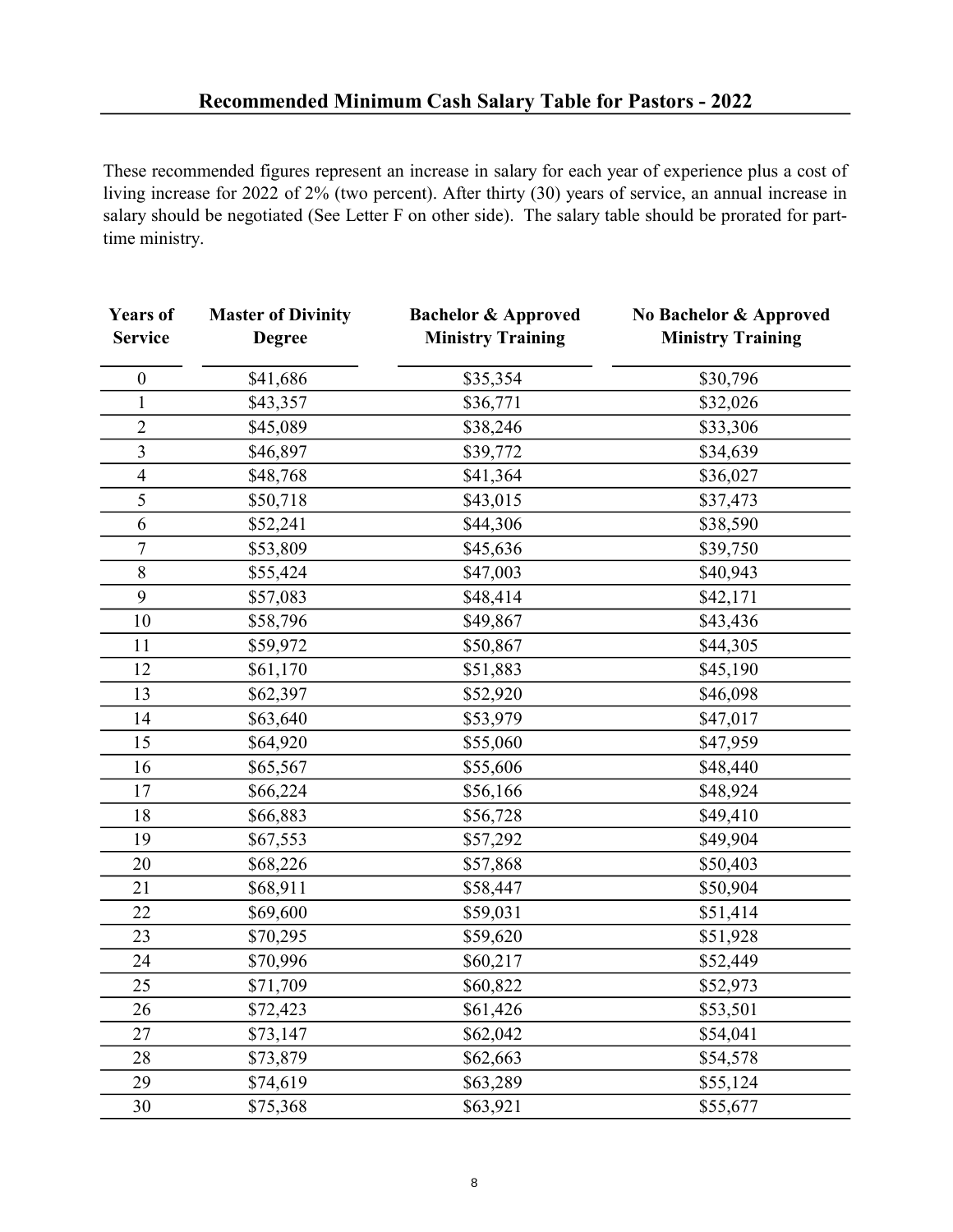These recommended figures represent an increase in salary for each year of experience plus a cost of living increase for 2022 of 2% (two percent). After thirty (30) years of service, an annual increase in salary should be negotiated (See Letter F on other side). The salary table should be prorated for parttime ministry.

| <b>Years of</b><br><b>Service</b> | <b>Master of Divinity</b><br><b>Degree</b> | <b>Bachelor &amp; Approved</b><br><b>Ministry Training</b> | No Bachelor & Approved<br><b>Ministry Training</b> |
|-----------------------------------|--------------------------------------------|------------------------------------------------------------|----------------------------------------------------|
| $\boldsymbol{0}$                  | \$41,686                                   | \$35,354                                                   | \$30,796                                           |
| $\mathbf{1}$                      | \$43,357                                   | \$36,771                                                   | \$32,026                                           |
| $\overline{c}$                    | \$45,089                                   | \$38,246                                                   | \$33,306                                           |
| $\overline{\overline{3}}$         | \$46,897                                   | \$39,772                                                   | \$34,639                                           |
| $\overline{4}$                    | \$48,768                                   | \$41,364                                                   | \$36,027                                           |
| 5                                 | \$50,718                                   | \$43,015                                                   | \$37,473                                           |
| 6                                 | \$52,241                                   | \$44,306                                                   | \$38,590                                           |
| $\boldsymbol{7}$                  | \$53,809                                   | \$45,636                                                   | \$39,750                                           |
| 8                                 | \$55,424                                   | \$47,003                                                   | \$40,943                                           |
| 9                                 | \$57,083                                   | \$48,414                                                   | \$42,171                                           |
| 10                                | \$58,796                                   | \$49,867                                                   | \$43,436                                           |
| 11                                | \$59,972                                   | \$50,867                                                   | \$44,305                                           |
| 12                                | \$61,170                                   | \$51,883                                                   | \$45,190                                           |
| 13                                | \$62,397                                   | \$52,920                                                   | \$46,098                                           |
| 14                                | \$63,640                                   | \$53,979                                                   | \$47,017                                           |
| 15                                | \$64,920                                   | \$55,060                                                   | \$47,959                                           |
| 16                                | \$65,567                                   | \$55,606                                                   | \$48,440                                           |
| 17                                | \$66,224                                   | \$56,166                                                   | \$48,924                                           |
| 18                                | \$66,883                                   | \$56,728                                                   | \$49,410                                           |
| 19                                | \$67,553                                   | \$57,292                                                   | \$49,904                                           |
| 20                                | \$68,226                                   | \$57,868                                                   | \$50,403                                           |
| 21                                | \$68,911                                   | \$58,447                                                   | \$50,904                                           |
| 22                                | \$69,600                                   | \$59,031                                                   | \$51,414                                           |
| 23                                | \$70,295                                   | \$59,620                                                   | \$51,928                                           |
| 24                                | \$70,996                                   | \$60,217                                                   | \$52,449                                           |
| 25                                | \$71,709                                   | \$60,822                                                   | \$52,973                                           |
| 26                                | \$72,423                                   | \$61,426                                                   | \$53,501                                           |
| 27                                | \$73,147                                   | \$62,042                                                   | \$54,041                                           |
| 28                                | \$73,879                                   | \$62,663                                                   | \$54,578                                           |
| 29                                | \$74,619                                   | \$63,289                                                   | \$55,124                                           |
| 30                                | \$75,368                                   | \$63,921                                                   | \$55,677                                           |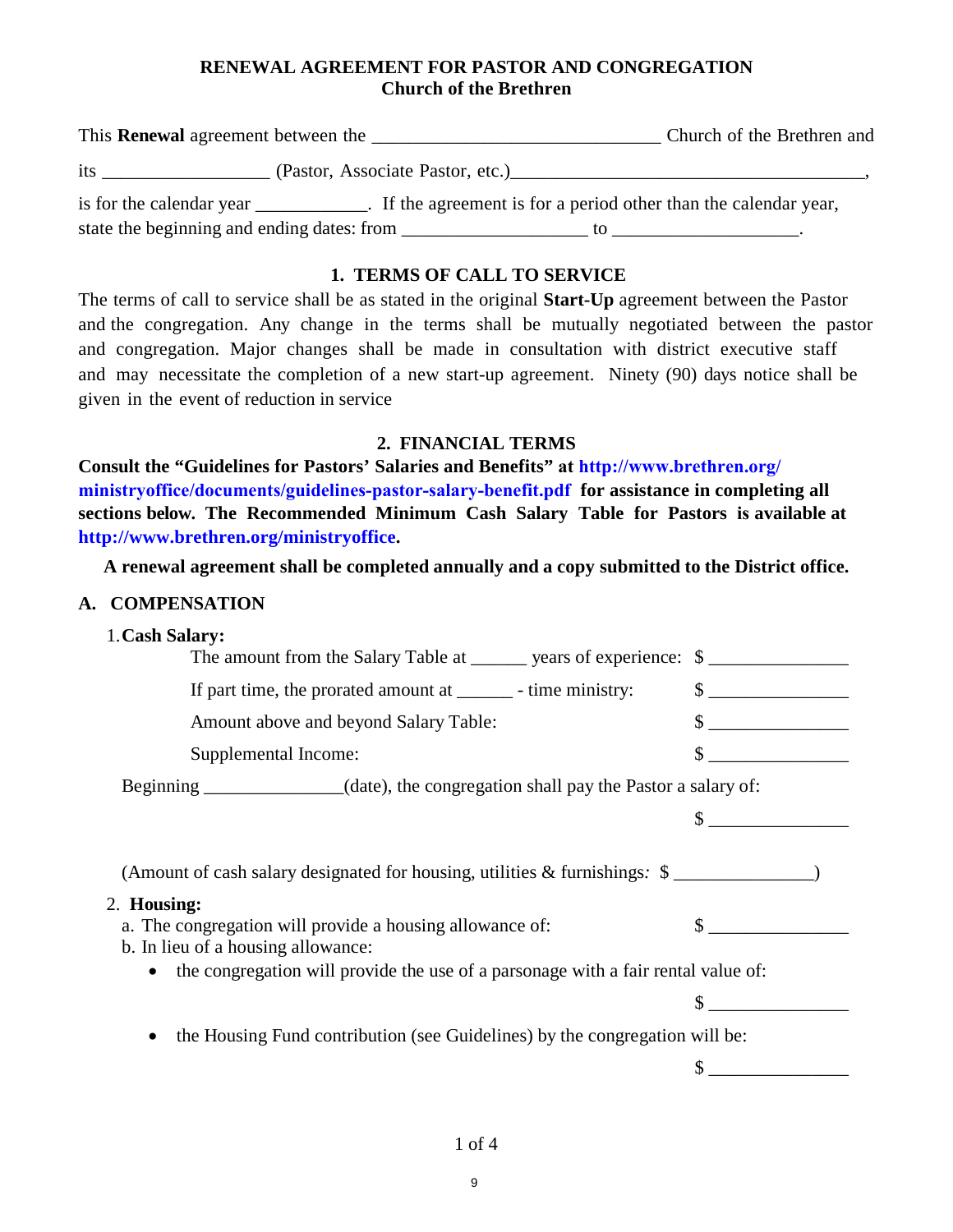## **RENEWAL AGREEMENT FOR PASTOR AND CONGREGATION Church of the Brethren**

| This <b>Renewal</b> agreement between the                                                                 | Church of the Brethren and                                                                                                                                                                                                                                                                      |
|-----------------------------------------------------------------------------------------------------------|-------------------------------------------------------------------------------------------------------------------------------------------------------------------------------------------------------------------------------------------------------------------------------------------------|
| its<br>(Pastor, Associate Pastor, etc.)                                                                   |                                                                                                                                                                                                                                                                                                 |
| is for the calendar year ________________. If the agreement is for a period other than the calendar year, |                                                                                                                                                                                                                                                                                                 |
| state the beginning and ending dates: from                                                                | $\mathfrak{g}$ to the set of $\mathfrak{g}$ and $\mathfrak{g}$ and $\mathfrak{g}$ are set of $\mathfrak{g}$ and $\mathfrak{g}$ are set of $\mathfrak{g}$ and $\mathfrak{g}$ are set of $\mathfrak{g}$ and $\mathfrak{g}$ are set of $\mathfrak{g}$ and $\mathfrak{g}$ are set of $\mathfrak{g}$ |

## **1. TERMS OF CALL TO SERVICE**

The terms of call to service shall be as stated in the original **Start-Up** agreement between the Pastor and the congregation. Any change in the terms shall be mutually negotiated between the pastor and congregation. Major changes shall be made in consultation with district executive staff and may necessitate the completion of a new start-up agreement. Ninety (90) days notice shall be given in the event of reduction in service

### **2. FINANCIAL TERMS**

**Consult the "Guidelines for Pastors' Salaries and Benefits" at http://www.brethren.org/ ministryoffice/documents/guidelines-pastor-salary-benefit.pdf for assistance in completing all sections below. The Recommended Minimum Cash Salary Table for Pastors is available at http://www.brethren.org/ministryoffice.** 

**A renewal agreement shall be completed annually and a copy submitted to the District office.** 

#### **A. COMPENSATION**

#### 1. **Cash Salary:**

| The amount from the Salary Table at _______ years of experience: \$                                                                                                                         |                                             |
|---------------------------------------------------------------------------------------------------------------------------------------------------------------------------------------------|---------------------------------------------|
| If part time, the prorated amount at ________ - time ministry:                                                                                                                              | $\sim$                                      |
| Amount above and beyond Salary Table:                                                                                                                                                       | <u> 1980 - Jan Samuel Barbara, martin d</u> |
| Supplemental Income:                                                                                                                                                                        |                                             |
| Beginning _____________(date), the congregation shall pay the Pastor a salary of:                                                                                                           |                                             |
|                                                                                                                                                                                             |                                             |
| (Amount of cash salary designated for housing, utilities & furnishings: \$<br>2. Housing:<br>a. The congregation will provide a housing allowance of:<br>b. In lieu of a housing allowance: |                                             |
| the congregation will provide the use of a parsonage with a fair rental value of:<br>$\bullet$                                                                                              |                                             |
|                                                                                                                                                                                             |                                             |
| the Housing Fund contribution (see Guidelines) by the congregation will be:<br>$\bullet$                                                                                                    |                                             |
|                                                                                                                                                                                             |                                             |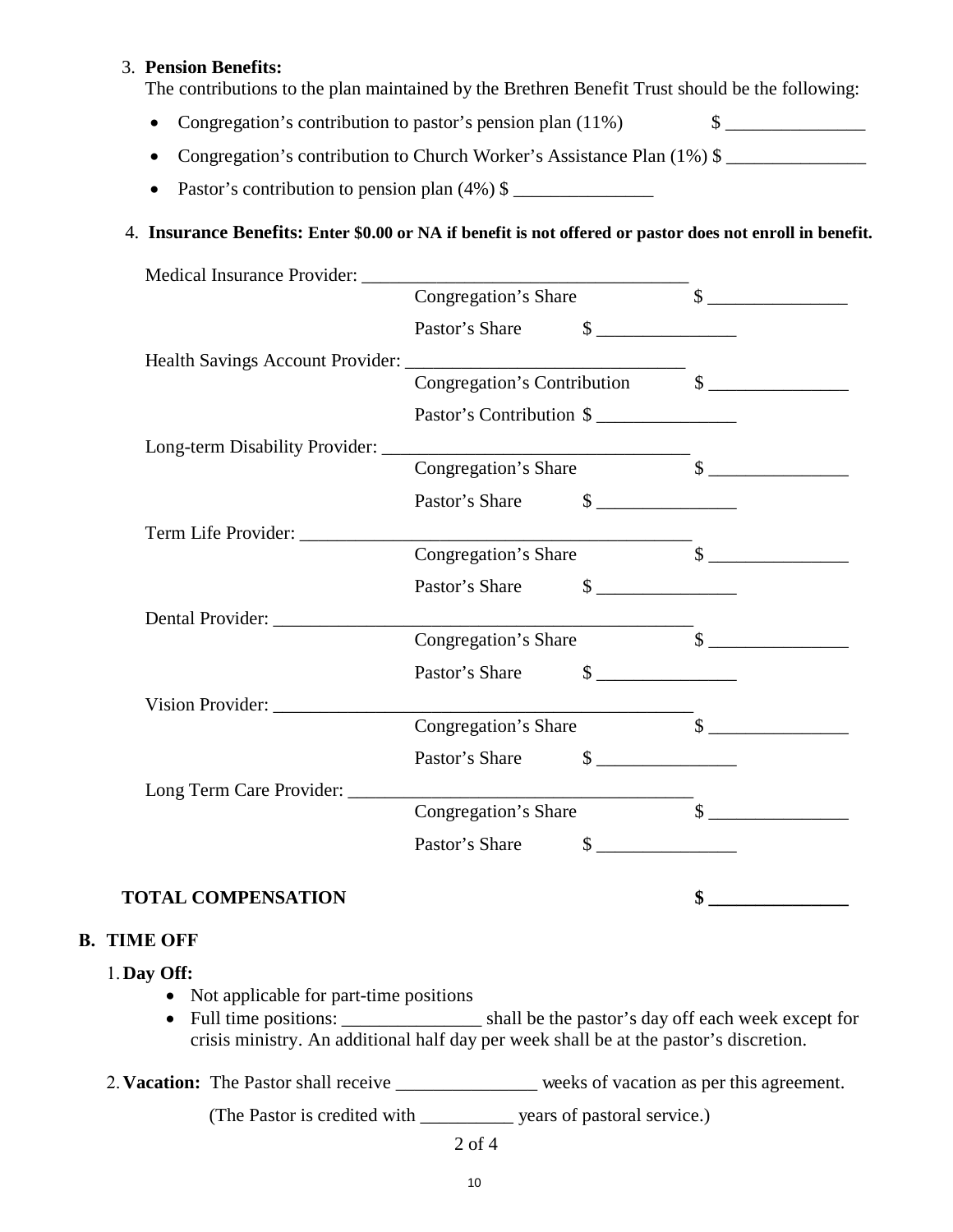#### 3. **Pension Benefits:**

The contributions to the plan maintained by the Brethren Benefit Trust should be the following:

- Congregation's contribution to pastor's pension plan  $(11\%)$  \$
- Congregation's contribution to Church Worker's Assistance Plan (1%) \$
- Pastor's contribution to pension plan  $(4\%)$  \$

## 4. **Insurance Benefits: Enter \$0.00 or NA if benefit is not offered or pastor does not enroll in benefit.**

|                                                                 | Congregation's Share     |                                                                                                                                                                                                                                                                                                                                                                     | $\begin{picture}(20,10) \put(0,0){\vector(1,0){100}} \put(15,0){\vector(1,0){100}} \put(15,0){\vector(1,0){100}} \put(15,0){\vector(1,0){100}} \put(15,0){\vector(1,0){100}} \put(15,0){\vector(1,0){100}} \put(15,0){\vector(1,0){100}} \put(15,0){\vector(1,0){100}} \put(15,0){\vector(1,0){100}} \put(15,0){\vector(1,0){100}} \put(15,0){\vector(1,0){100}} \$                                                                                                                                                                                                   |
|-----------------------------------------------------------------|--------------------------|---------------------------------------------------------------------------------------------------------------------------------------------------------------------------------------------------------------------------------------------------------------------------------------------------------------------------------------------------------------------|-----------------------------------------------------------------------------------------------------------------------------------------------------------------------------------------------------------------------------------------------------------------------------------------------------------------------------------------------------------------------------------------------------------------------------------------------------------------------------------------------------------------------------------------------------------------------|
|                                                                 | Pastor's Share           | $\begin{picture}(20,10) \put(0,0){\line(1,0){10}} \put(15,0){\line(1,0){10}} \put(15,0){\line(1,0){10}} \put(15,0){\line(1,0){10}} \put(15,0){\line(1,0){10}} \put(15,0){\line(1,0){10}} \put(15,0){\line(1,0){10}} \put(15,0){\line(1,0){10}} \put(15,0){\line(1,0){10}} \put(15,0){\line(1,0){10}} \put(15,0){\line(1,0){10}} \put(15,0){\line(1$                 |                                                                                                                                                                                                                                                                                                                                                                                                                                                                                                                                                                       |
|                                                                 |                          |                                                                                                                                                                                                                                                                                                                                                                     |                                                                                                                                                                                                                                                                                                                                                                                                                                                                                                                                                                       |
| Health Savings Account Provider: Congregation's Contribution \$ |                          |                                                                                                                                                                                                                                                                                                                                                                     |                                                                                                                                                                                                                                                                                                                                                                                                                                                                                                                                                                       |
|                                                                 | Pastor's Contribution \$ |                                                                                                                                                                                                                                                                                                                                                                     |                                                                                                                                                                                                                                                                                                                                                                                                                                                                                                                                                                       |
|                                                                 |                          |                                                                                                                                                                                                                                                                                                                                                                     |                                                                                                                                                                                                                                                                                                                                                                                                                                                                                                                                                                       |
| Long-term Disability Provider: Congregation's Share             |                          |                                                                                                                                                                                                                                                                                                                                                                     | $\overline{\mathcal{S}}$ $\overline{\mathcal{S}}$                                                                                                                                                                                                                                                                                                                                                                                                                                                                                                                     |
|                                                                 | Pastor's Share           | $\frac{1}{2}$                                                                                                                                                                                                                                                                                                                                                       |                                                                                                                                                                                                                                                                                                                                                                                                                                                                                                                                                                       |
|                                                                 |                          |                                                                                                                                                                                                                                                                                                                                                                     |                                                                                                                                                                                                                                                                                                                                                                                                                                                                                                                                                                       |
|                                                                 |                          |                                                                                                                                                                                                                                                                                                                                                                     | $\overline{\phantom{a}}$ \$                                                                                                                                                                                                                                                                                                                                                                                                                                                                                                                                           |
|                                                                 | Pastor's Share           | $\begin{picture}(20,10) \put(0,0){\vector(1,0){100}} \put(15,0){\vector(1,0){100}} \put(15,0){\vector(1,0){100}} \put(15,0){\vector(1,0){100}} \put(15,0){\vector(1,0){100}} \put(15,0){\vector(1,0){100}} \put(15,0){\vector(1,0){100}} \put(15,0){\vector(1,0){100}} \put(15,0){\vector(1,0){100}} \put(15,0){\vector(1,0){100}} \put(15,0){\vector(1,0){100}} \$ |                                                                                                                                                                                                                                                                                                                                                                                                                                                                                                                                                                       |
| Dental Provider:                                                |                          |                                                                                                                                                                                                                                                                                                                                                                     |                                                                                                                                                                                                                                                                                                                                                                                                                                                                                                                                                                       |
|                                                                 | Congregation's Share     |                                                                                                                                                                                                                                                                                                                                                                     | $\qquad \qquad \bullet$                                                                                                                                                                                                                                                                                                                                                                                                                                                                                                                                               |
|                                                                 | Pastor's Share           | $\begin{picture}(20,20) \put(0,0){\line(1,0){10}} \put(15,0){\line(1,0){10}} \put(15,0){\line(1,0){10}} \put(15,0){\line(1,0){10}} \put(15,0){\line(1,0){10}} \put(15,0){\line(1,0){10}} \put(15,0){\line(1,0){10}} \put(15,0){\line(1,0){10}} \put(15,0){\line(1,0){10}} \put(15,0){\line(1,0){10}} \put(15,0){\line(1,0){10}} \put(15,0){\line(1$                 |                                                                                                                                                                                                                                                                                                                                                                                                                                                                                                                                                                       |
| Vision Provider:                                                |                          |                                                                                                                                                                                                                                                                                                                                                                     |                                                                                                                                                                                                                                                                                                                                                                                                                                                                                                                                                                       |
|                                                                 | Congregation's Share     |                                                                                                                                                                                                                                                                                                                                                                     | $\begin{array}{c} \n \text{\bf $s$} \begin{array}{c} \text{\bf \textcolor{red}{\bf \textcolor{red}{\bf \textcolor{red}{\bf \textcolor{red}{\bf \textcolor{red}{\bf \textcolor{red}{\bf \textcolor{red}{\bf \textcolor{red}{\bf \textcolor{red}{\bf \textcolor{red}{\bf \textcolor{red}{\bf \textcolor{red}{\bf \textcolor{red}{\bf \textcolor{red}{\bf \textcolor{red}{\bf \textcolor{red}{\bf \textcolor{red}{\bf \textcolor{red}{\bf \textcolor{blue}{\bf \textcolor{blue}{\bf \textcolor{blue}{\bf \textcolor{blue}{\bf \textcolor{blue}{\bf \textcolor{blue}{\bf$ |
|                                                                 | Pastor's Share           | $\frac{\text{S}}{\text{S}}$                                                                                                                                                                                                                                                                                                                                         |                                                                                                                                                                                                                                                                                                                                                                                                                                                                                                                                                                       |
| Long Term Care Provider:                                        |                          |                                                                                                                                                                                                                                                                                                                                                                     |                                                                                                                                                                                                                                                                                                                                                                                                                                                                                                                                                                       |
|                                                                 | Congregation's Share     |                                                                                                                                                                                                                                                                                                                                                                     | $\begin{picture}(20,10) \put(0,0){\vector(1,0){100}} \put(15,0){\vector(1,0){100}} \put(15,0){\vector(1,0){100}} \put(15,0){\vector(1,0){100}} \put(15,0){\vector(1,0){100}} \put(15,0){\vector(1,0){100}} \put(15,0){\vector(1,0){100}} \put(15,0){\vector(1,0){100}} \put(15,0){\vector(1,0){100}} \put(15,0){\vector(1,0){100}} \put(15,0){\vector(1,0){100}} \$                                                                                                                                                                                                   |
|                                                                 | Pastor's Share           | $\frac{1}{1}$                                                                                                                                                                                                                                                                                                                                                       |                                                                                                                                                                                                                                                                                                                                                                                                                                                                                                                                                                       |
| <b>TOTAL COMPENSATION</b>                                       |                          |                                                                                                                                                                                                                                                                                                                                                                     | \$                                                                                                                                                                                                                                                                                                                                                                                                                                                                                                                                                                    |

## **B. TIME OFF**

## 1.**Day Off:**

- Not applicable for part-time positions
- Full time positions: \_\_\_\_\_\_\_\_\_\_\_\_\_\_\_ shall be the pastor's day off each week except for crisis ministry. An additional half day per week shall be at the pastor's discretion.
- 2. **Vacation:** The Pastor shall receive weeks of vacation as per this agreement.

(The Pastor is credited with \_\_\_\_\_\_\_\_\_\_ years of pastoral service.)

#### 2 of 4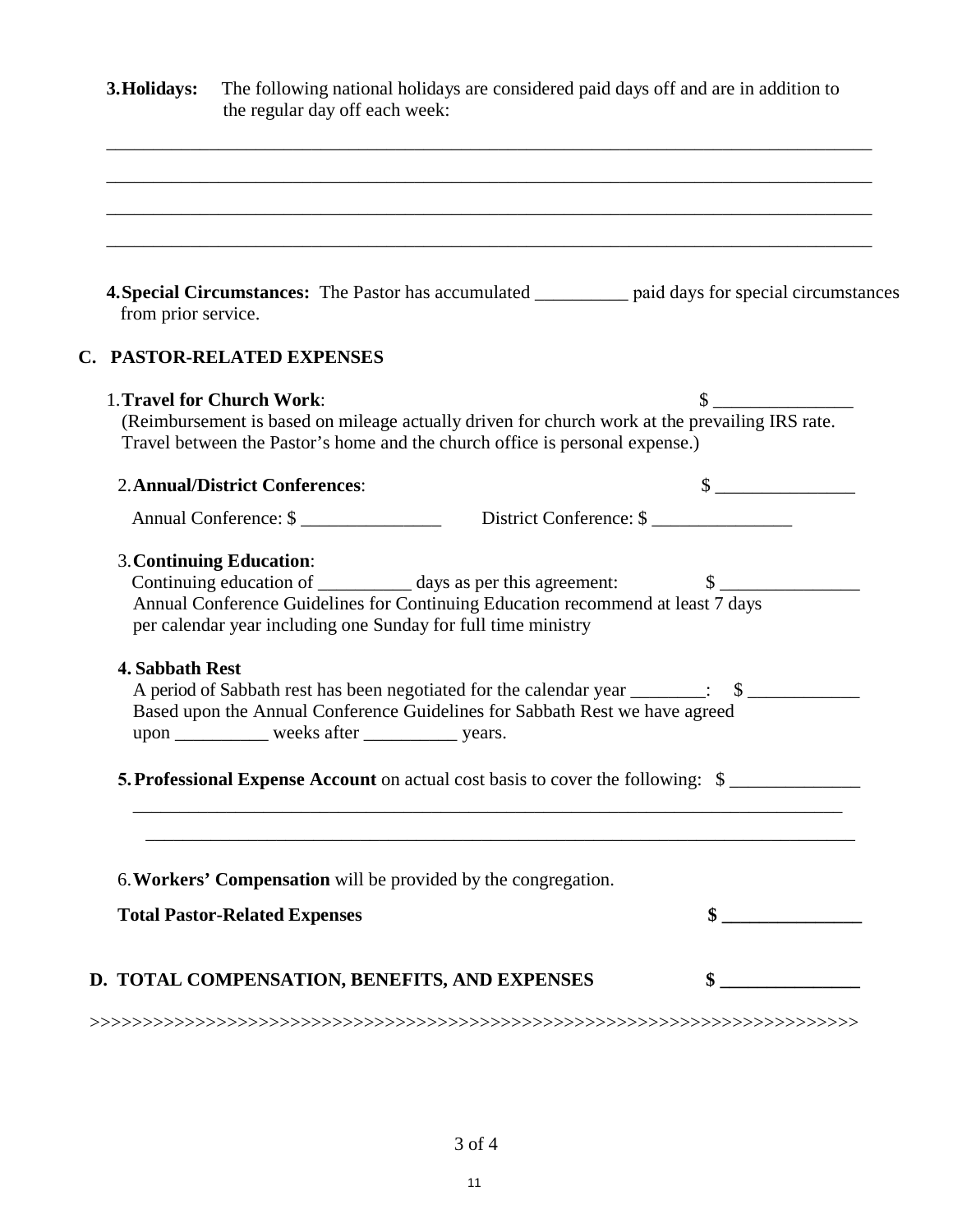| The following national holidays are considered paid days off and are in addition to<br>the regular day off each week: |                                                                                                                                                                                                                                                                                                                                                                                                                                                                                                                                                                                                                                                                                                                                                                                                                                                                                                                                                                                                                                                                         |  |
|-----------------------------------------------------------------------------------------------------------------------|-------------------------------------------------------------------------------------------------------------------------------------------------------------------------------------------------------------------------------------------------------------------------------------------------------------------------------------------------------------------------------------------------------------------------------------------------------------------------------------------------------------------------------------------------------------------------------------------------------------------------------------------------------------------------------------------------------------------------------------------------------------------------------------------------------------------------------------------------------------------------------------------------------------------------------------------------------------------------------------------------------------------------------------------------------------------------|--|
|                                                                                                                       |                                                                                                                                                                                                                                                                                                                                                                                                                                                                                                                                                                                                                                                                                                                                                                                                                                                                                                                                                                                                                                                                         |  |
|                                                                                                                       |                                                                                                                                                                                                                                                                                                                                                                                                                                                                                                                                                                                                                                                                                                                                                                                                                                                                                                                                                                                                                                                                         |  |
|                                                                                                                       |                                                                                                                                                                                                                                                                                                                                                                                                                                                                                                                                                                                                                                                                                                                                                                                                                                                                                                                                                                                                                                                                         |  |
|                                                                                                                       | $\mathbb{S}$                                                                                                                                                                                                                                                                                                                                                                                                                                                                                                                                                                                                                                                                                                                                                                                                                                                                                                                                                                                                                                                            |  |
|                                                                                                                       | $\frac{\text{S}}{\text{S}}$                                                                                                                                                                                                                                                                                                                                                                                                                                                                                                                                                                                                                                                                                                                                                                                                                                                                                                                                                                                                                                             |  |
|                                                                                                                       |                                                                                                                                                                                                                                                                                                                                                                                                                                                                                                                                                                                                                                                                                                                                                                                                                                                                                                                                                                                                                                                                         |  |
|                                                                                                                       |                                                                                                                                                                                                                                                                                                                                                                                                                                                                                                                                                                                                                                                                                                                                                                                                                                                                                                                                                                                                                                                                         |  |
|                                                                                                                       |                                                                                                                                                                                                                                                                                                                                                                                                                                                                                                                                                                                                                                                                                                                                                                                                                                                                                                                                                                                                                                                                         |  |
|                                                                                                                       |                                                                                                                                                                                                                                                                                                                                                                                                                                                                                                                                                                                                                                                                                                                                                                                                                                                                                                                                                                                                                                                                         |  |
|                                                                                                                       |                                                                                                                                                                                                                                                                                                                                                                                                                                                                                                                                                                                                                                                                                                                                                                                                                                                                                                                                                                                                                                                                         |  |
|                                                                                                                       | $\sim$                                                                                                                                                                                                                                                                                                                                                                                                                                                                                                                                                                                                                                                                                                                                                                                                                                                                                                                                                                                                                                                                  |  |
|                                                                                                                       |                                                                                                                                                                                                                                                                                                                                                                                                                                                                                                                                                                                                                                                                                                                                                                                                                                                                                                                                                                                                                                                                         |  |
|                                                                                                                       | <b>4. Special Circumstances:</b> The Pastor has accumulated __________ paid days for special circumstances<br>from prior service.<br><b>C. PASTOR-RELATED EXPENSES</b><br>1. Travel for Church Work:<br>(Reimbursement is based on mileage actually driven for church work at the prevailing IRS rate.<br>Travel between the Pastor's home and the church office is personal expense.)<br><b>2. Annual/District Conferences:</b><br><b>3. Continuing Education:</b><br>Annual Conference Guidelines for Continuing Education recommend at least 7 days<br>per calendar year including one Sunday for full time ministry<br><b>4. Sabbath Rest</b><br>A period of Sabbath rest has been negotiated for the calendar year _______: \$<br>Based upon the Annual Conference Guidelines for Sabbath Rest we have agreed<br>upon _____________ weeks after ______________ years.<br>5. Professional Expense Account on actual cost basis to cover the following: \$<br>6. Workers' Compensation will be provided by the congregation.<br><b>Total Pastor-Related Expenses</b> |  |

3 of 4